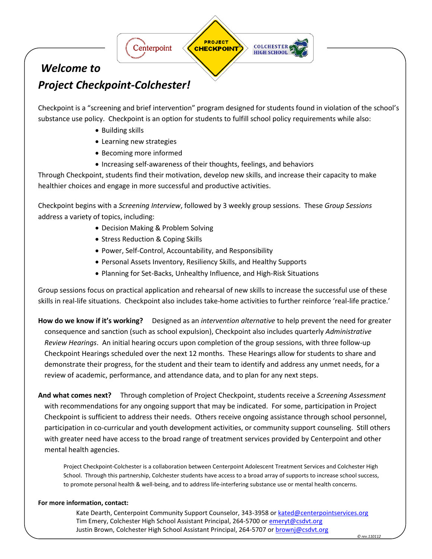

## *Welcome to*

# *Project Checkpoint-Colchester!*

Checkpoint is a "screening and brief intervention" program designed for students found in violation of the school's substance use policy. Checkpoint is an option for students to fulfill school policy requirements while also:

- Building skills
- Learning new strategies
- Becoming more informed
- Increasing self-awareness of their thoughts, feelings, and behaviors

Through Checkpoint, students find their motivation, develop new skills, and increase their capacity to make healthier choices and engage in more successful and productive activities.

Checkpoint begins with a *Screening Interview*, followed by 3 weekly group sessions. These *Group Sessions* address a variety of topics, including:

- Decision Making & Problem Solving
- Stress Reduction & Coping Skills
- Power, Self-Control, Accountability, and Responsibility
- Personal Assets Inventory, Resiliency Skills, and Healthy Supports
- Planning for Set-Backs, Unhealthy Influence, and High-Risk Situations

Group sessions focus on practical application and rehearsal of new skills to increase the successful use of these skills in real-life situations. Checkpoint also includes take-home activities to further reinforce 'real-life practice.'

**How do we know if it's working?** Designed as an *intervention alternative* to help prevent the need for greater consequence and sanction (such as school expulsion), Checkpoint also includes quarterly *Administrative Review Hearings*. An initial hearing occurs upon completion of the group sessions, with three follow-up Checkpoint Hearings scheduled over the next 12 months. These Hearings allow for students to share and demonstrate their progress, for the student and their team to identify and address any unmet needs, for a review of academic, performance, and attendance data, and to plan for any next steps.

**And what comes next?** Through completion of Project Checkpoint, students receive a *Screening Assessment* with recommendations for any ongoing support that may be indicated. For some, participation in Project Checkpoint is sufficient to address their needs. Others receive ongoing assistance through school personnel, participation in co-curricular and youth development activities, or community support counseling. Still others with greater need have access to the broad range of treatment services provided by Centerpoint and other mental health agencies.

Project Checkpoint-Colchester is a collaboration between Centerpoint Adolescent Treatment Services and Colchester High School. Through this partnership, Colchester students have access to a broad array of supports to increase school success, to promote personal health & well-being, and to address life-interfering substance use or mental health concerns.

## **For more information, contact:**

Kate Dearth, Centerpoint Community Support Counselor, 343-3958 or [kated@centerpointservices.org](mailto:kated@centerpointservices.org) Tim Emery, Colchester High School Assistant Principal, 264-5700 or [emeryt@csdvt.org](mailto:emeryt@csdvt.org) Justin Brown, Colchester High School Assistant Principal, 264-5707 o[r brownj@csdvt.org](mailto:brownj@csdvt.org)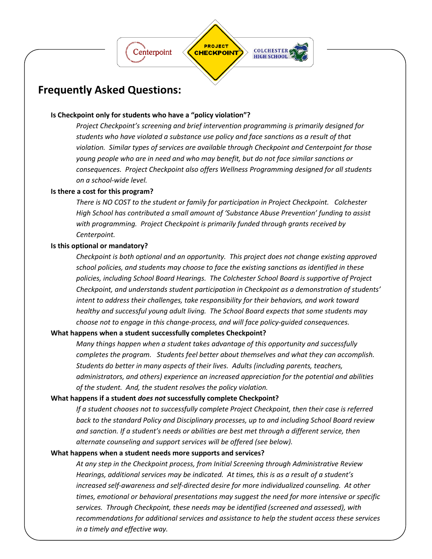

## **Frequently Asked Questions:**

## **Is Checkpoint only for students who have a "policy violation"?**

*Project Checkpoint's screening and brief intervention programming is primarily designed for students who have violated a substance use policy and face sanctions as a result of that violation. Similar types of services are available through Checkpoint and Centerpoint for those young people who are in need and who may benefit, but do not face similar sanctions or consequences. Project Checkpoint also offers Wellness Programming designed for all students on a school-wide level.*

## **Is there a cost for this program?**

*There is NO COST to the student or family for participation in Project Checkpoint. Colchester High School has contributed a small amount of 'Substance Abuse Prevention' funding to assist with programming. Project Checkpoint is primarily funded through grants received by Centerpoint.*

## **Is this optional or mandatory?**

*Checkpoint is both optional and an opportunity. This project does not change existing approved school policies, and students may choose to face the existing sanctions as identified in these policies, including School Board Hearings. The Colchester School Board is supportive of Project Checkpoint, and understands student participation in Checkpoint as a demonstration of students' intent to address their challenges, take responsibility for their behaviors, and work toward healthy and successful young adult living. The School Board expects that some students may choose not to engage in this change-process, and will face policy-guided consequences.*

## **What happens when a student successfully completes Checkpoint?**

*Many things happen when a student takes advantage of this opportunity and successfully completes the program. Students feel better about themselves and what they can accomplish. Students do better in many aspects of their lives. Adults (including parents, teachers, administrators, and others) experience an increased appreciation for the potential and abilities of the student. And, the student resolves the policy violation.*

## **What happens if a student** *does not* **successfully complete Checkpoint?**

*If a student chooses not to successfully complete Project Checkpoint, then their case is referred back to the standard Policy and Disciplinary processes, up to and including School Board review and sanction. If a student's needs or abilities are best met through a different service, then alternate counseling and support services will be offered (see below).*

## **What happens when a student needs more supports and services?**

*At any step in the Checkpoint process, from Initial Screening through Administrative Review Hearings, additional services may be indicated. At times, this is as a result of a student's increased self-awareness and self-directed desire for more individualized counseling. At other times, emotional or behavioral presentations may suggest the need for more intensive or specific services. Through Checkpoint, these needs may be identified (screened and assessed), with recommendations for additional services and assistance to help the student access these services in a timely and effective way.*